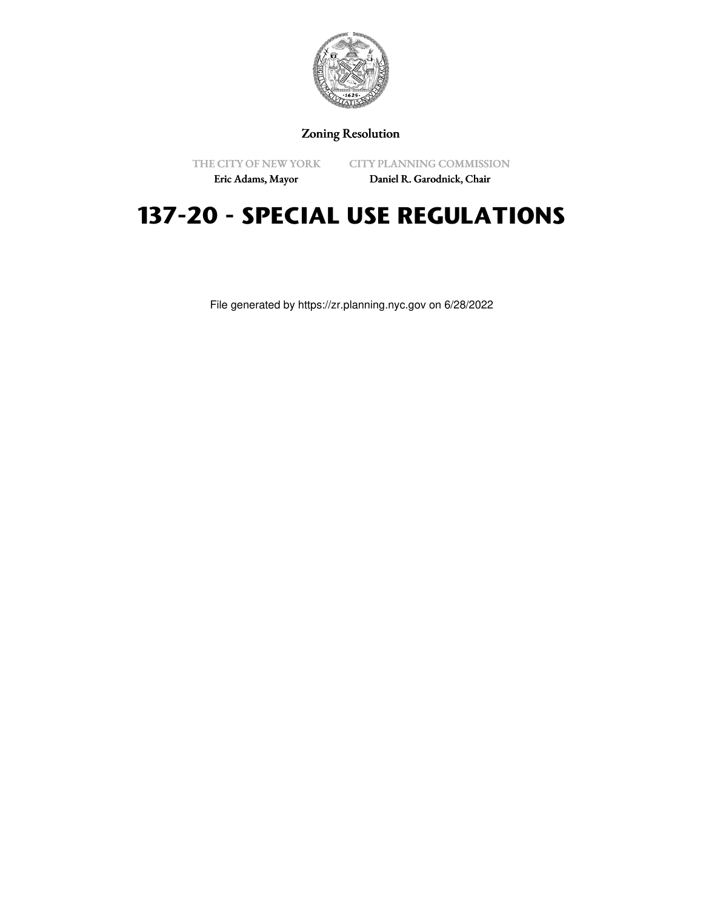

Zoning Resolution

THE CITY OF NEW YORK Eric Adams, Mayor

CITY PLANNING COMMISSION

Daniel R. Garodnick, Chair

## **137-20 - SPECIAL USE REGULATIONS**

File generated by https://zr.planning.nyc.gov on 6/28/2022